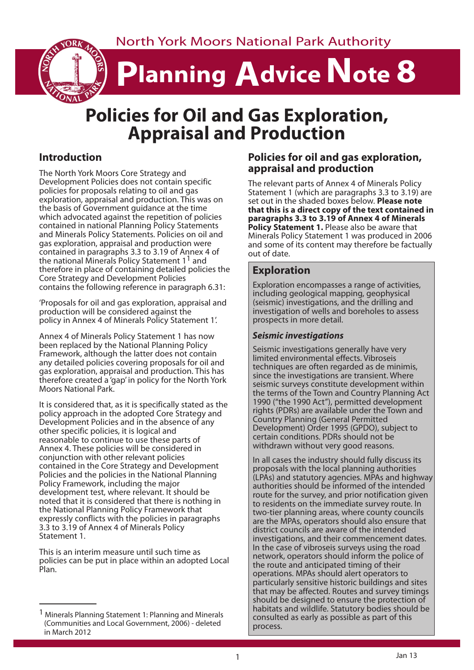North York Moors National Park Authority

# **Planning Advice Note 8**

# **Policies for Oil and Gas Exploration, Appraisal and Production**

## **Introduction**

The North York Moors Core Strategy and Development Policies does not contain specific policies for proposals relating to oil and gas exploration, appraisal and production. This was on the basis of Government guidance at the time which advocated against the repetition of policies contained in national Planning Policy Statements and Minerals Policy Statements. Policies on oil and gas exploration, appraisal and production were contained in paragraphs 3.3 to 3.19 of Annex 4 of the national Minerals Policy Statement  $1<sup>1</sup>$  and therefore in place of containing detailed policies the Core Strategy and Development Policies contains the following reference in paragraph 6.31:

'Proposals for oil and gas exploration, appraisal and production will be considered against the policy in Annex 4 of Minerals Policy Statement 1'.

Annex 4 of Minerals Policy Statement 1 has now been replaced by the National Planning Policy Framework, although the latter does not contain any detailed policies covering proposals for oil and gas exploration, appraisal and production. This has therefore created a 'gap' in policy for the North York Moors National Park.

It is considered that, as it is specifically stated as the policy approach in the adopted Core Strategy and Development Policies and in the absence of any other specific policies, it is logical and reasonable to continue to use these parts of Annex 4. These policies will be considered in conjunction with other relevant policies contained in the Core Strategy and Development Policies and the policies in the National Planning Policy Framework, including the major development test, where relevant. It should be noted that it is considered that there is nothing in the National Planning Policy Framework that expressly conflicts with the policies in paragraphs 3.3 to 3.19 of Annex 4 of Minerals Policy Statement 1.

This is an interim measure until such time as policies can be put in place within an adopted Local Plan.

#### **Policies for oil and gas exploration, appraisal and production**

The relevant parts of Annex 4 of Minerals Policy Statement 1 (which are paragraphs 3.3 to 3.19) are set out in the shaded boxes below. **Please note that this is a direct copy of the text contained in paragraphs 3.3 to 3.19 of Annex 4 of Minerals Policy Statement 1.** Please also be aware that Minerals Policy Statement 1 was produced in 2006 and some of its content may therefore be factually out of date.

## **Exploration**

 Exploration encompasses a range of activities, including geological mapping, geophysical (seismic) investigations, and the drilling and investigation of wells and boreholes to assess prospects in more detail.

#### *Seismic investigations*

 Seismic investigations generally have very limited environmental effects. Vibroseis techniques are often regarded as de minimis, since the investigations are transient. Where seismic surveys constitute development within the terms of the Town and Country Planning Act 1990 ("the 1990 Act"), permitted development rights (PDRs) are available under the Town and Country Planning (General Permitted Development) Order 1995 (GPDO), subject to certain conditions. PDRs should not be withdrawn without very good reasons.

 In all cases the industry should fully discuss its proposals with the local planning authorities (LPAs) and statutory agencies. MPAs and highway authorities should be informed of the intended route for the survey, and prior notification given to residents on the immediate survey route. In two-tier planning areas, where county councils are the MPAs, operators should also ensure that district councils are aware of the intended investigations, and their commencement dates. In the case of vibroseis surveys using the road network, operators should inform the police of the route and anticipated timing of their operations. MPAs should alert operators to particularly sensitive historic buildings and sites that may be affected. Routes and survey timings should be designed to ensure the protection of habitats and wildlife. Statutory bodies should be consulted as early as possible as part of this process.

<sup>&</sup>lt;sup>1</sup> Minerals Planning Statement 1: Planning and Minerals (Communities and Local Government, 2006) - deleted in March 2012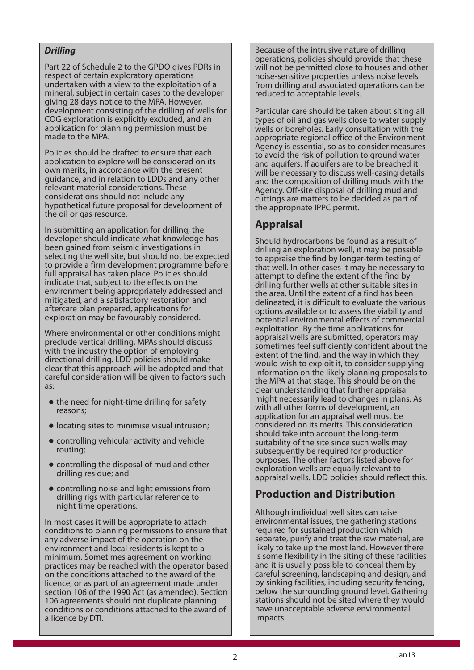#### *Drilling*

 Part 22 of Schedule 2 to the GPDO gives PDRs in respect of certain exploratory operations undertaken with a view to the exploitation of a mineral, subject in certain cases to the developer giving 28 days notice to the MPA. However, development consisting of the drilling of wells for COG exploration is explicitly excluded, and an application for planning permission must be made to the MPA.

 Policies should be drafted to ensure that each application to explore will be considered on its own merits, in accordance with the present guidance, and in relation to LDDs and any other relevant material considerations. These considerations should not include any hypothetical future proposal for development of the oil or gas resource.

 In submitting an application for drilling, the developer should indicate what knowledge has been gained from seismic investigations in selecting the well site, but should not be expected to provide a firm development programme before full appraisal has taken place. Policies should indicate that, subject to the effects on the environment being appropriately addressed and mitigated, and a satisfactory restoration and aftercare plan prepared, applications for exploration may be favourably considered.

 Where environmental or other conditions might preclude vertical drilling, MPAs should discuss with the industry the option of employing directional drilling. LDD policies should make clear that this approach will be adopted and that careful consideration will be given to factors such as:

- $\bullet$  the need for night-time drilling for safety reasons;
- $\bullet$  locating sites to minimise visual intrusion;
- $\bullet$  controlling vehicular activity and vehicle routing;
- $\bullet$  controlling the disposal of mud and other drilling residue; and
- controlling noise and light emissions from drilling rigs with particular reference to night time operations.

 In most cases it will be appropriate to attach conditions to planning permissions to ensure that any adverse impact of the operation on the environment and local residents is kept to a minimum. Sometimes agreement on working practices may be reached with the operator based on the conditions attached to the award of the licence, or as part of an agreement made under section 106 of the 1990 Act (as amended). Section 106 agreements should not duplicate planning conditions or conditions attached to the award of a licence by DTI.

 Because of the intrusive nature of drilling operations, policies should provide that these will not be permitted close to houses and other noise-sensitive properties unless noise levels from drilling and associated operations can be reduced to acceptable levels.

 Particular care should be taken about siting all types of oil and gas wells close to water supply wells or boreholes. Early consultation with the appropriate regional office of the Environment Agency is essential, so as to consider measures to avoid the risk of pollution to ground water and aquifers. If aquifers are to be breached it will be necessary to discuss well-casing details and the composition of drilling muds with the Agency. Off-site disposal of drilling mud and cuttings are matters to be decided as part of the appropriate IPPC permit.

## **Appraisal**

 Should hydrocarbons be found as a result of drilling an exploration well, it may be possible to appraise the find by longer-term testing of that well. In other cases it may be necessary to attempt to define the extent of the find by drilling further wells at other suitable sites in the area. Until the extent of a find has been delineated, it is difficult to evaluate the various options available or to assess the viability and potential environmental effects of commercial exploitation. By the time applications for appraisal wells are submitted, operators may sometimes feel sufficiently confident about the extent of the find, and the way in which they would wish to exploit it, to consider supplying information on the likely planning proposals to the MPA at that stage. This should be on the clear understanding that further appraisal might necessarily lead to changes in plans. As with all other forms of development, an application for an appraisal well must be considered on its merits. This consideration should take into account the long-term suitability of the site since such wells may subsequently be required for production purposes. The other factors listed above for exploration wells are equally relevant to appraisal wells. LDD policies should reflect this.

## **Production and Distribution**

 Although individual well sites can raise environmental issues, the gathering stations required for sustained production which separate, purify and treat the raw material, are likely to take up the most land. However there is some flexibility in the siting of these facilities and it is usually possible to conceal them by careful screening, landscaping and design, and by sinking facilities, including security fencing, below the surrounding ground level. Gathering stations should not be sited where they would have unacceptable adverse environmental impacts.